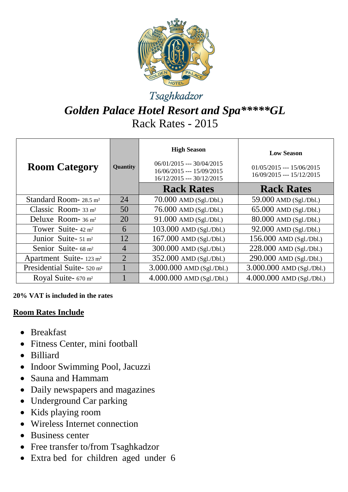

## Tsaghkadzor

# *Golden Palace Hotel Resort and Spa\*\*\*\*\*GL* Rack Rates - 2015

| <b>Room Category</b>                   | Quantity       | <b>High Season</b><br>$06/01/2015$ --- 30/04/2015<br>16/06/2015 --- 15/09/2015<br>16/12/2015 --- 30/12/2015 | <b>Low Season</b><br>$01/05/2015$ --- 15/06/2015<br>16/09/2015 --- 15/12/2015 |
|----------------------------------------|----------------|-------------------------------------------------------------------------------------------------------------|-------------------------------------------------------------------------------|
|                                        |                | <b>Rack Rates</b>                                                                                           | <b>Rack Rates</b>                                                             |
| Standard Room- $28.5 \text{ m}^2$      | 24             | $70.000$ AMD $(Sgl. /Db.)$                                                                                  | 59.000 AMD (Sgl./Dbl.)                                                        |
| Classic Room- $33 \text{ m}^2$         | 50             | $76.000$ AMD (Sgl./Dbl.)                                                                                    | 65.000 AMD (Sgl./Dbl.)                                                        |
| Deluxe Room- $36 \text{ m}^2$          | 20             | $91.000$ AMD (Sgl./Dbl.)                                                                                    | 80.000 AMD (Sgl./Dbl.)                                                        |
| Tower Suite- $42 \text{ m}^2$          | 6              | 103.000 AMD (Sgl./Dbl.)                                                                                     | $92.000$ AMD (Sgl./Dbl.)                                                      |
| Junior Suite- $51 \text{ m}^2$         | 12             | $167.000$ AMD (Sgl./Dbl.)                                                                                   | $156.000$ AMD (Sgl./Dbl.)                                                     |
| Senior Suite- 68 m <sup>2</sup>        | $\overline{4}$ | 300.000 AMD (Sgl./Dbl.)                                                                                     | 228.000 AMD (Sgl./Dbl.)                                                       |
| Apartment Suite-123 m <sup>2</sup>     | $\overline{2}$ | 352.000 AMD (Sgl./Dbl.)                                                                                     | 290.000 AMD (Sgl./Dbl.)                                                       |
| Presidential Suite- 520 m <sup>2</sup> |                | $3.000.000$ AMD (Sgl./Dbl.)                                                                                 | $3.000.000$ AMD (Sgl./Dbl.)                                                   |
| Royal Suite- $670 \text{ m}^2$         |                | $4.000.000$ AMD (Sgl./Dbl.)                                                                                 | $4.000.000$ AMD (Sgl./Dbl.)                                                   |

**20% VAT is included in the rates**

#### **Room Rates Include**

- Breakfast
- Fitness Center, mini football
- Billiard
- Indoor Swimming Pool, Jacuzzi
- Sauna and Hammam
- Daily newspapers and magazines
- Underground Car parking
- Kids playing room
- Wireless Internet connection
- Business center
- Free transfer to/from Tsaghkadzor
- Extra bed for children aged under 6